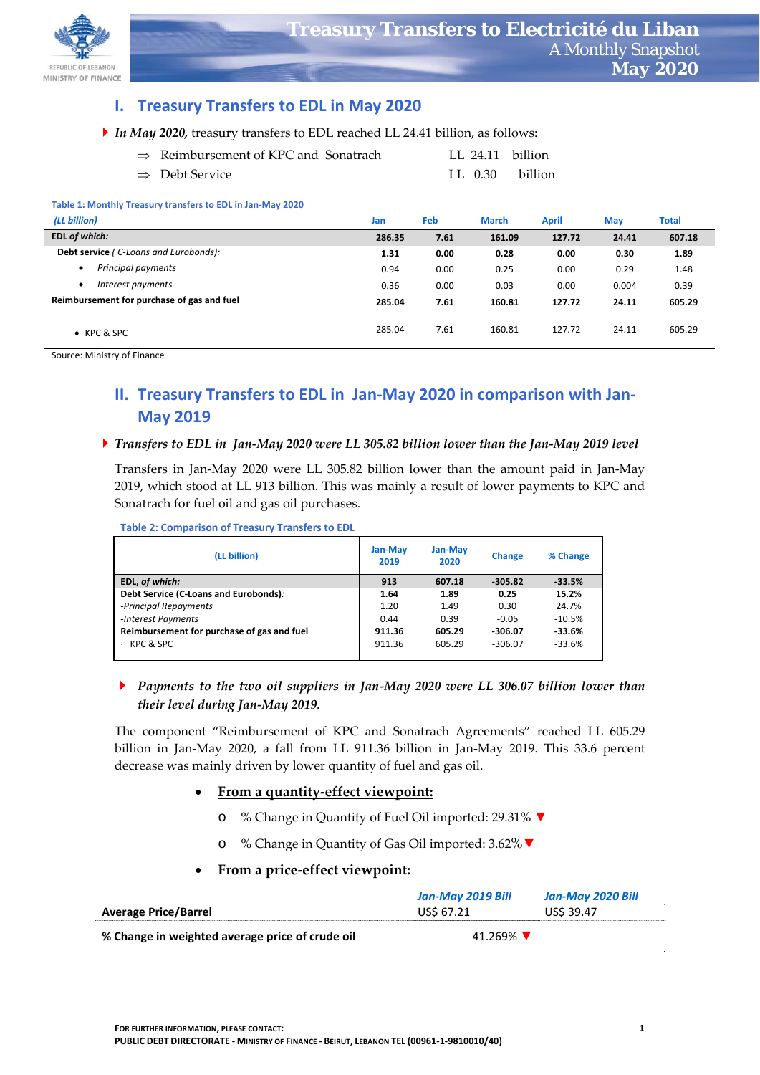

## **I. Treasury Transfers to EDL in May 2020**

|  |  | In May 2020, treasury transfers to EDL reached LL 24.41 billion, as follows: |  |
|--|--|------------------------------------------------------------------------------|--|
|--|--|------------------------------------------------------------------------------|--|

| $\Rightarrow$ Reimbursement of KPC and Sonatrach |  | LL 24.11 billion |
|--------------------------------------------------|--|------------------|
| $\Rightarrow$ Debt Service                       |  | LL 0.30 billion  |

#### **Table 1: Monthly Treasury transfers to EDL in Jan‐May 2020**

| (LL billion)                               | Jan    | Feb  | <b>March</b> | <b>April</b> | <b>May</b> | Total  |
|--------------------------------------------|--------|------|--------------|--------------|------------|--------|
| EDL of which:                              | 286.35 | 7.61 | 161.09       | 127.72       | 24.41      | 607.18 |
| Debt service (C-Loans and Eurobonds):      | 1.31   | 0.00 | 0.28         | 0.00         | 0.30       | 1.89   |
| Principal payments                         | 0.94   | 0.00 | 0.25         | 0.00         | 0.29       | 1.48   |
| Interest payments                          | 0.36   | 0.00 | 0.03         | 0.00         | 0.004      | 0.39   |
| Reimbursement for purchase of gas and fuel | 285.04 | 7.61 | 160.81       | 127.72       | 24.11      | 605.29 |
| $\bullet$ KPC & SPC                        | 285.04 | 7.61 | 160.81       | 127.72       | 24.11      | 605.29 |

Source: Ministry of Finance

# **II. Treasury Transfers to EDL in Jan‐May 2020 in comparison with Jan‐ May 2019**

#### ▶ Transfers to EDL in Jan-May 2020 were LL 305.82 billion lower than the Jan-May 2019 level

Transfers in Jan‐May 2020 were LL 305.82 billion lower than the amount paid in Jan‐May 2019, which stood at LL 913 billion. This was mainly a result of lower payments to KPC and Sonatrach for fuel oil and gas oil purchases.

**Table 2: Comparison of Treasury Transfers to EDL** 

| (LL billion)                               | <b>Jan-May</b><br>2019 | <b>Jan-May</b><br>2020 | <b>Change</b> | % Change |
|--------------------------------------------|------------------------|------------------------|---------------|----------|
| EDL, of which:                             | 913                    | 607.18                 | $-305.82$     | $-33.5%$ |
| Debt Service (C-Loans and Eurobonds):      | 1.64                   | 1.89                   | 0.25          | 15.2%    |
| -Principal Repayments                      | 1.20                   | 1.49                   | 0.30          | 24.7%    |
| -Interest Payments                         | 0.44                   | 0.39                   | $-0.05$       | $-10.5%$ |
| Reimbursement for purchase of gas and fuel | 911.36                 | 605.29                 | $-306.07$     | $-33.6%$ |
| KPC & SPC                                  | 911.36                 | 605.29                 | $-306.07$     | $-33.6%$ |

### *Payments to the two oil suppliers in Jan‐May 2020 were LL 306.07 billion lower than their level during Jan‐May 2019.*

The component "Reimbursement of KPC and Sonatrach Agreements" reached LL 605.29 billion in Jan-May 2020, a fall from LL 911.36 billion in Jan-May 2019. This 33.6 percent decrease was mainly driven by lower quantity of fuel and gas oil.

### **From a quantity‐effect viewpoint:**

- o % Change in Quantity of Fuel Oil imported: 29.31% **▼**
- o % Change in Quantity of Gas Oil imported: 3.62%**▼**
- **From a price‐effect viewpoint:**

|                                                 | Jan-May 2019 Bill | Jan-May 2020 Bill |  |
|-------------------------------------------------|-------------------|-------------------|--|
| <b>Average Price/Barrel</b>                     | US\$ 67.21        | US\$ 39.47        |  |
| % Change in weighted average price of crude oil | 41.269%           |                   |  |